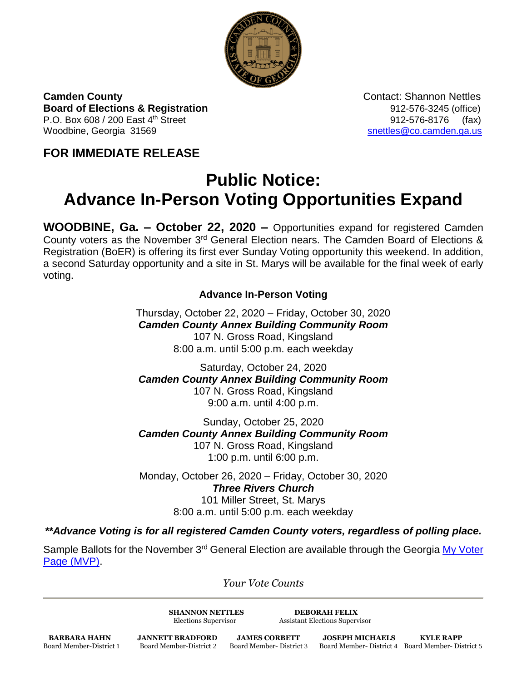

**Camden County**<br> **Contact: Shannon Nettles Board of Elections & Registration** 8. **Board of Elections & Registration** P.O. Box 608 / 200 East 4<sup>th</sup> Street 912-576-8176 (fax) Woodbine, Georgia 31569 [snettles@co.camden.ga.us](mailto:snettles@co.camden.ga.us)

**FOR IMMEDIATE RELEASE**

## **Public Notice: Advance In-Person Voting Opportunities Expand**

**WOODBINE, Ga. – October 22, 2020 –** Opportunities expand for registered Camden County voters as the November 3rd General Election nears. The Camden Board of Elections & Registration (BoER) is offering its first ever Sunday Voting opportunity this weekend. In addition, a second Saturday opportunity and a site in St. Marys will be available for the final week of early voting.

## **Advance In-Person Voting**

Thursday, October 22, 2020 – Friday, October 30, 2020 *Camden County Annex Building Community Room* 107 N. Gross Road, Kingsland 8:00 a.m. until 5:00 p.m. each weekday

Saturday, October 24, 2020 *Camden County Annex Building Community Room* 107 N. Gross Road, Kingsland 9:00 a.m. until 4:00 p.m.

Sunday, October 25, 2020 *Camden County Annex Building Community Room* 107 N. Gross Road, Kingsland 1:00 p.m. until 6:00 p.m.

Monday, October 26, 2020 – Friday, October 30, 2020 *Three Rivers Church* 101 Miller Street, St. Marys 8:00 a.m. until 5:00 p.m. each weekday

*\*\*Advance Voting is for all registered Camden County voters, regardless of polling place.*

Sample Ballots for the November 3<sup>rd</sup> General Election are available through the Georgia My Voter [Page \(MVP\).](https://www.mvp.sos.ga.gov/)

*Your Vote Counts*

**SHANNON NETTLES DEBORAH FELIX**

Elections Supervisor Assistant Elections Supervisor

**BARBARA HAHN JANNETT BRADFORD JAMES CORBETT JOSEPH MICHAELS KYLE RAPP**<br>Board Member-District 1 Board Member-District 2 Board Member-District 3 Board Member-District 4 Board Member-Dis

Board Member-District 1 Board Member-District 2 Board Member- District 3 Board Member- District 4 Board Member- District 5